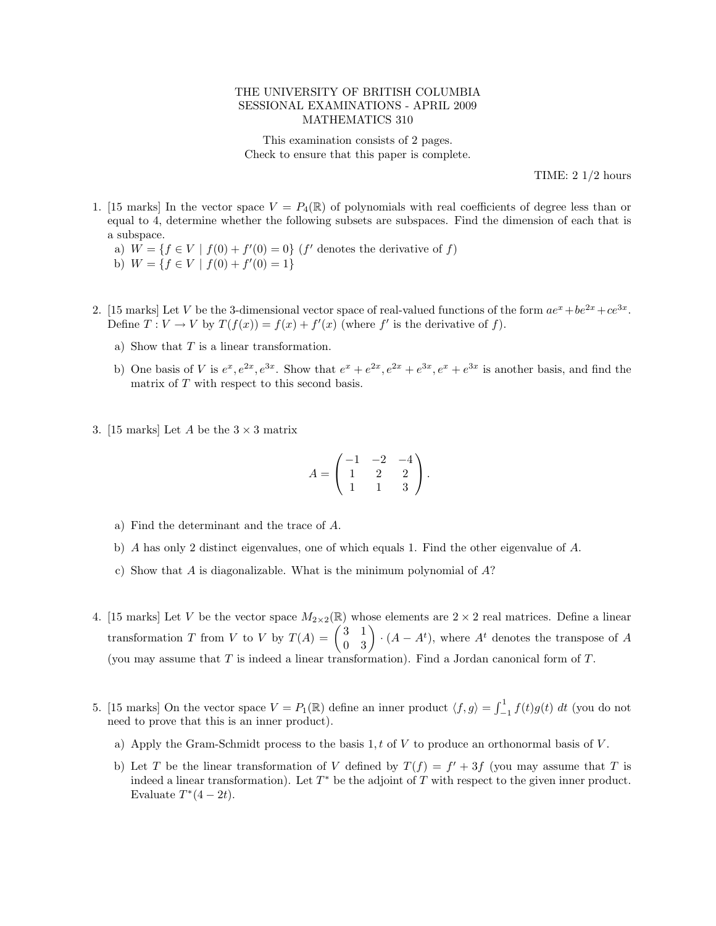## THE UNIVERSITY OF BRITISH COLUMBIA SESSIONAL EXAMINATIONS - APRIL 2009 MATHEMATICS 310

This examination consists of 2 pages. Check to ensure that this paper is complete.

TIME: 2 1/2 hours

- 1. [15 marks] In the vector space  $V = P_4(\mathbb{R})$  of polynomials with real coefficients of degree less than or equal to 4, determine whether the following subsets are subspaces. Find the dimension of each that is a subspace.
	- a)  $W = \{f \in V \mid f(0) + f'(0) = 0\}$  (f' denotes the derivative of f)
	- b)  $W = \{ f \in V \mid f(0) + f'(0) = 1 \}$
- 2. [15 marks] Let V be the 3-dimensional vector space of real-valued functions of the form  $ae^x + be^{2x} + ce^{3x}$ . Define  $T: V \to V$  by  $T(f(x)) = f(x) + f'(x)$  (where f' is the derivative of f).
	- a) Show that  $T$  is a linear transformation.
	- b) One basis of V is  $e^x$ ,  $e^{2x}$ ,  $e^{3x}$ . Show that  $e^x + e^{2x}$ ,  $e^{2x} + e^{3x}$ ,  $e^x + e^{3x}$  is another basis, and find the matrix of T with respect to this second basis.
- 3. [15 marks] Let A be the  $3 \times 3$  matrix

$$
A = \begin{pmatrix} -1 & -2 & -4 \\ 1 & 2 & 2 \\ 1 & 1 & 3 \end{pmatrix}.
$$

- a) Find the determinant and the trace of A.
- b) A has only 2 distinct eigenvalues, one of which equals 1. Find the other eigenvalue of A.
- c) Show that A is diagonalizable. What is the minimum polynomial of  $A$ ?
- 4. [15 marks] Let V be the vector space  $M_{2\times2}(\mathbb{R})$  whose elements are  $2\times2$  real matrices. Define a linear transformation T from V to V by  $T(A) = \begin{pmatrix} 3 & 1 \\ 0 & 3 \end{pmatrix} \cdot (A - A^t)$ , where  $A^t$  denotes the transpose of A (you may assume that  $T$  is indeed a linear transformation). Find a Jordan canonical form of  $T$ .
- 5. [15 marks] On the vector space  $V = P_1(\mathbb{R})$  define an inner product  $\langle f, g \rangle = \int_{-1}^{1} f(t)g(t) dt$  (you do not need to prove that this is an inner product).
	- a) Apply the Gram-Schmidt process to the basis  $1, t$  of V to produce an orthonormal basis of V.
	- b) Let T be the linear transformation of V defined by  $T(f) = f' + 3f$  (you may assume that T is indeed a linear transformation). Let  $T^*$  be the adjoint of  $T$  with respect to the given inner product. Evaluate  $T^*(4-2t)$ .